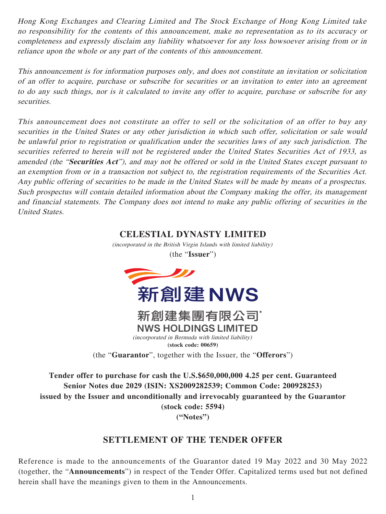Hong Kong Exchanges and Clearing Limited and The Stock Exchange of Hong Kong Limited take no responsibility for the contents of this announcement, make no representation as to its accuracy or completeness and expressly disclaim any liability whatsoever for any loss howsoever arising from or in reliance upon the whole or any part of the contents of this announcement.

This announcement is for information purposes only, and does not constitute an invitation or solicitation of an offer to acquire, purchase or subscribe for securities or an invitation to enter into an agreement to do any such things, nor is it calculated to invite any offer to acquire, purchase or subscribe for any securities.

This announcement does not constitute an offer to sell or the solicitation of an offer to buy any securities in the United States or any other jurisdiction in which such offer, solicitation or sale would be unlawful prior to registration or qualification under the securities laws of any such jurisdiction. The securities referred to herein will not be registered under the United States Securities Act of 1933, as amended (the "**Securities Act**"), and may not be offered or sold in the United States except pursuant to an exemption from or in a transaction not subject to, the registration requirements of the Securities Act. Any public offering of securities to be made in the United States will be made by means of a prospectus. Such prospectus will contain detailed information about the Company making the offer, its management and financial statements. The Company does not intend to make any public offering of securities in the United States.

## **CELESTIAL DYNASTY LIMITED**

(incorporated in the British Virgin Islands with limited liability) (the "**Issuer**")





*(incorporated in Bermuda with limited liability)* (incorporated in Bermuda with limited liability) **(stock code: 659) (stock code: 00659)**

(the "**Guarantor**", together with the Issuer, the "**Offerors**")

**Tender offer to purchase for cash the U.S.\$650,000,000 4.25 per cent. Guaranteed Senior Notes due 2029 (ISIN: XS2009282539; Common Code: 200928253) issued by the Issuer and unconditionally and irrevocably guaranteed by the Guarantor (stock code: 5594)**

**("Notes")**

## **SETTLEMENT OF THE TENDER OFFER**

Reference is made to the announcements of the Guarantor dated 19 May 2022 and 30 May 2022 (together, the "**Announcements**") in respect of the Tender Offer. Capitalized terms used but not defined herein shall have the meanings given to them in the Announcements.